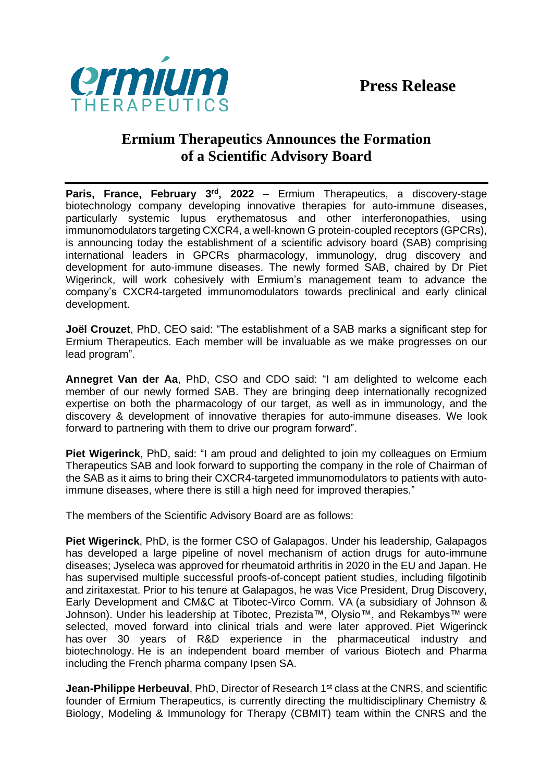

## **Ermium Therapeutics Announces the Formation of a Scientific Advisory Board**

**Paris, France, February 3<sup>rd</sup>, 2022** – Ermium Therapeutics, a discovery-stage biotechnology company developing innovative therapies for auto-immune diseases, particularly systemic lupus erythematosus and other interferonopathies, using immunomodulators targeting CXCR4, a well-known G protein-coupled receptors (GPCRs), is announcing today the establishment of a scientific advisory board (SAB) comprising international leaders in GPCRs pharmacology, immunology, drug discovery and development for auto-immune diseases. The newly formed SAB, chaired by Dr Piet Wigerinck, will work cohesively with Ermium's management team to advance the company's CXCR4-targeted immunomodulators towards preclinical and early clinical development.

**Joël Crouzet**, PhD, CEO said: "The establishment of a SAB marks a significant step for Ermium Therapeutics. Each member will be invaluable as we make progresses on our lead program".

**Annegret Van der Aa**, PhD, CSO and CDO said: "I am delighted to welcome each member of our newly formed SAB. They are bringing deep internationally recognized expertise on both the pharmacology of our target, as well as in immunology, and the discovery & development of innovative therapies for auto-immune diseases. We look forward to partnering with them to drive our program forward".

**Piet Wigerinck**, PhD, said: "I am proud and delighted to join my colleagues on Ermium Therapeutics SAB and look forward to supporting the company in the role of Chairman of the SAB as it aims to bring their CXCR4-targeted immunomodulators to patients with autoimmune diseases, where there is still a high need for improved therapies."

The members of the Scientific Advisory Board are as follows:

**Piet Wigerinck**, PhD, is the former CSO of Galapagos. Under his leadership, Galapagos has developed a large pipeline of novel mechanism of action drugs for auto-immune diseases; Jyseleca was approved for rheumatoid arthritis in 2020 in the EU and Japan. He has supervised multiple successful proofs-of-concept patient studies, including filgotinib and ziritaxestat. Prior to his tenure at Galapagos, he was Vice President, Drug Discovery, Early Development and CM&C at Tibotec-Virco Comm. VA (a subsidiary of Johnson & Johnson). Under his leadership at Tibotec, Prezista™, Olysio™, and Rekambys™ were selected, moved forward into clinical trials and were later approved. Piet Wigerinck has over 30 years of R&D experience in the pharmaceutical industry and biotechnology. He is an independent board member of various Biotech and Pharma including the French pharma company Ipsen SA.

**Jean-Philippe Herbeuval**, PhD, Director of Research 1<sup>st</sup> class at the CNRS, and scientific founder of Ermium Therapeutics, is currently directing the multidisciplinary Chemistry & Biology, Modeling & Immunology for Therapy (CBMIT) team within the CNRS and the